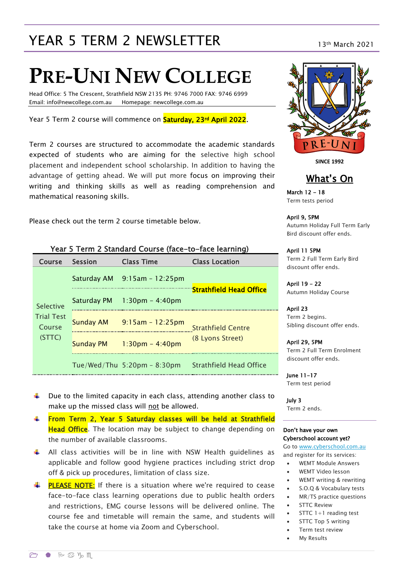# YEAR 5 TERM 2 NEWSLETTER 13th March 2021

# **PRE-UNI NEW COLLEGE**

Head Office: 5 The Crescent, Strathfield NSW 2135 PH: 9746 7000 FAX: 9746 6999 Email: info@newcollege.com.au Homepage: newcollege.com.au

Year 5 Term 2 course will commence on **Saturday, 23<sup>rd</sup> April 2022**.

Term 2 courses are structured to accommodate the academic standards expected of students who are aiming for the selective high school placement and independent school scholarship. In addition to having the advantage of getting ahead. We will put more focus on improving their writing and thinking skills as well as reading comprehension and mathematical reasoning skills.

Please check out the term 2 course timetable below.

| Course                      | <b>Session</b>   | <b>Class Time</b>              | <b>Class Location</b>          |
|-----------------------------|------------------|--------------------------------|--------------------------------|
|                             |                  | Saturday AM 9:15am - 12:25pm   |                                |
| Selective                   | Saturday PM      | $1:30$ pm – 4:40pm             | <b>Strathfield Head Office</b> |
| <b>Trial Test</b><br>Course |                  | Sunday AM $9:15am - 12:25pm$   | <b>Strathfield Centre</b>      |
| (STTC)                      | <b>Sunday PM</b> | $1:30$ pm – 4:40pm             | (8 Lyons Street)               |
|                             |                  | Tue/Wed/Thu $5:20$ pm - 8:30pm | <b>Strathfield Head Office</b> |

#### Year 5 Term 2 Standard Course (face-to-face learning)

- $\ddot{\phantom{1}}$  Due to the limited capacity in each class, attending another class to make up the missed class will not be allowed.
- From Term 2, Year 5 Saturday classes will be held at Strathfield **Head Office**. The location may be subject to change depending on the number of available classrooms.
- All class activities will be in line with NSW Health guidelines as applicable and follow good hygiene practices including strict drop off & pick up procedures, limitation of class size.
- $\frac{1}{2}$  **PLEASE NOTE:** If there is a situation where we're required to cease face-to-face class learning operations due to public health orders and restrictions, EMG course lessons will be delivered online. The course fee and timetable will remain the same, and students will take the course at home via Zoom and Cyberschool.



**SINCE 1992**

#### What's On

March 12 - 18 Term tests period

April 9, 5PM

Autumn Holiday Full Term Early Bird discount offer ends.

April 11 5PM Term 2 Full Term Early Bird discount offer ends.

April 19 - 22 Autumn Holiday Course

April 23 Term 2 begins. Sibling discount offer ends.

April 29, 5PM Term 2 Full Term Enrolment discount offer ends.

June 11-17 Term test period

July 3 Term 2 ends.

#### Don't have your own Cyberschool account yet?

Go to [www.cyberschool.com.au](http://www.cyberschool.com.au/) and register for its services:

- WEMT Module Answers
- WEMT Video lesson
- WEMT writing & rewriting
- S.O.Q & Vocabulary tests
- MR/TS practice questions
- STTC Review
- STTC 1+1 reading test
- STTC Top 5 writing
- Term test review
- My Results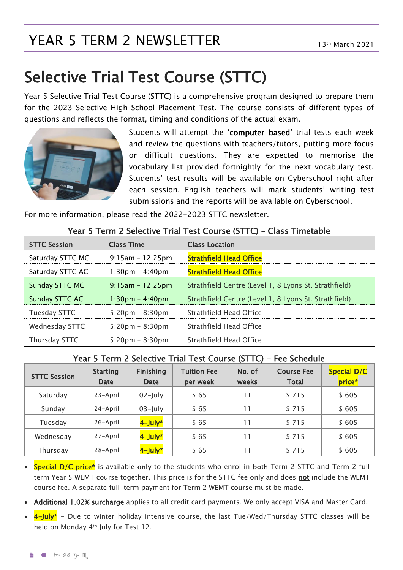# YEAR 5 TERM 2 NEWSLETTER 13th March 2021

# Selective Trial Test Course (STTC)

Year 5 Selective Trial Test Course (STTC) is a comprehensive program designed to prepare them for the 2023 Selective High School Placement Test. The course consists of different types of questions and reflects the format, timing and conditions of the actual exam.



Students will attempt the 'computer-based' trial tests each week and review the questions with teachers/tutors, putting more focus on difficult questions. They are expected to memorise the vocabulary list provided fortnightly for the next vocabulary test. Students' test results will be available on Cyberschool right after each session. English teachers will mark students' writing test submissions and the reports will be available on Cyberschool.

For more information, please read the 2022-2023 STTC newsletter.

| <b>STTC Session</b>   | <b>Class Time</b>                 | <b>Class Location</b>                                 |
|-----------------------|-----------------------------------|-------------------------------------------------------|
| Saturday STTC MC      | $9:15am - 12:25pm$                | <b>Strathfield Head Office</b>                        |
| Saturday STTC AC      | $1:30 \text{pm} - 4:40 \text{pm}$ | <b>Strathfield Head Office</b>                        |
| <b>Sunday STTC MC</b> | $9:15am - 12:25pm$                | Strathfield Centre (Level 1, 8 Lyons St. Strathfield) |
| Sunday STTC AC        | $1:30$ pm - 4:40pm                | Strathfield Centre (Level 1, 8 Lyons St. Strathfield) |
| Tuesday STTC          | $5:20 \text{pm} - 8:30 \text{pm}$ | Strathfield Head Office                               |
| Wednesday STTC        | $5:20 \text{pm} - 8:30 \text{pm}$ | Strathfield Head Office                               |
| Thursday STTC         | $5:20 \text{pm} - 8:30 \text{pm}$ | Strathfield Head Office                               |

#### Year 5 Term 2 Selective Trial Test Course (STTC) – Class Timetable

#### Year 5 Term 2 Selective Trial Test Course (STTC) - Fee Schedule

| <b>STTC Session</b> | <b>Starting</b><br><b>Date</b> | Finishing<br>Date | <b>Tuition Fee</b><br>per week | No. of<br>weeks | <b>Course Fee</b><br><b>Total</b> | Special D/C<br>price* |
|---------------------|--------------------------------|-------------------|--------------------------------|-----------------|-----------------------------------|-----------------------|
| Saturday            | 23-April                       | $02$ -July        | \$65                           | 11              | \$715                             | \$605                 |
| Sunday              | 24-April                       | $03$ -July        | \$65                           | 11              | \$715                             | \$605                 |
| Tuesday             | 26-April                       | 4-July*           | \$65                           | 11              | \$715                             | \$605                 |
| Wednesday           | 27-April                       | 4-July*           | \$65                           | 11              | \$715                             | \$605                 |
| Thursday            | 28-April                       | 4-July*           | \$65                           | 11              | \$715                             | \$605                 |

• Special D/C price\* is available only to the students who enrol in both Term 2 STTC and Term 2 full term Year 5 WEMT course together. This price is for the STTC fee only and does not include the WEMT course fee. A separate full-term payment for Term 2 WEMT course must be made.

• Additional 1.02% surcharge applies to all credit card payments. We only accept VISA and Master Card.

 $4$ -July\* - Due to winter holiday intensive course, the last Tue/Wed/Thursday STTC classes will be held on Monday 4th July for Test 12.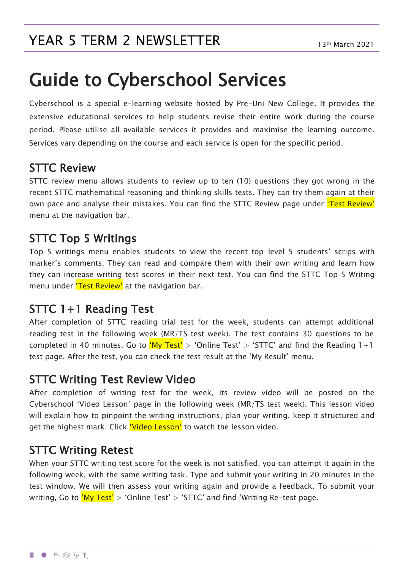# Guide to Cyberschool Services

Cyberschool is a special e-learning website hosted by Pre-Uni New College. It provides the extensive educational services to help students revise their entire work during the course period. Please utilise all available services it provides and maximise the learning outcome. Services vary depending on the course and each service is open for the specific period.

#### STTC Review

STTC review menu allows students to review up to ten (10) questions they got wrong in the recent STTC mathematical reasoning and thinking skills tests. They can try them again at their own pace and analyse their mistakes. You can find the STTC Review page under *'Test Review'* menu at the navigation bar.

#### STTC Top 5 Writings

Top 5 writings menu enables students to view the recent top-level 5 students' scrips with marker's comments. They can read and compare them with their own writing and learn how they can increase writing test scores in their next test. You can find the STTC Top 5 Writing menu under 'Test Review' at the navigation bar.

### STTC 1+1 Reading Test

After completion of STTC reading trial test for the week, students can attempt additional reading test in the following week (MR/TS test week). The test contains 30 questions to be completed in 40 minutes. Go to  $^{6}My$  Test' > 'Online Test' > 'STTC' and find the Reading 1+1 test page. After the test, you can check the test result at the 'My Result' menu.

#### STTC Writing Test Review Video

After completion of writing test for the week, its review video will be posted on the Cyberschool 'Video Lesson' page in the following week (MR/TS test week). This lesson video will explain how to pinpoint the writing instructions, plan your writing, keep it structured and get the highest mark. Click 'Video Lesson' to watch the lesson video.

### STTC Writing Retest

When your STTC writing test score for the week is not satisfied, you can attempt it again in the following week, with the same writing task. Type and submit your writing in 20 minutes in the test window. We will then assess your writing again and provide a feedback. To submit your writing, Go to  $'My Test' > 'Online Test' > 'STTC'$  and find 'Writing Re-test page.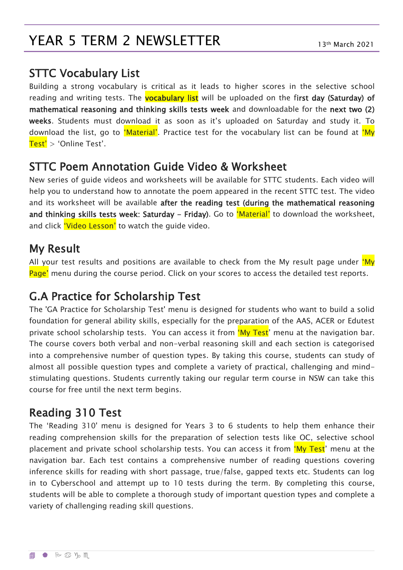# YEAR 5 TERM 2 NEWSLETTER 13th March 2021

#### STTC Vocabulary List

Building a strong vocabulary is critical as it leads to higher scores in the selective school reading and writing tests. The **vocabulary list** will be uploaded on the first day (Saturday) of mathematical reasoning and thinking skills tests week and downloadable for the next two (2) weeks. Students must download it as soon as it's uploaded on Saturday and study it. To download the list, go to 'Material'. Practice test for the vocabulary list can be found at 'My Test' > 'Online Test'.

#### STTC Poem Annotation Guide Video & Worksheet

New series of guide videos and worksheets will be available for STTC students. Each video will help you to understand how to annotate the poem appeared in the recent STTC test. The video and its worksheet will be available after the reading test (during the mathematical reasoning and thinking skills tests week: Saturday - Friday). Go to 'Material' to download the worksheet, and click 'Video Lesson' to watch the guide video.

#### My Result

All your test results and positions are available to check from the My result page under 'My Page' menu during the course period. Click on your scores to access the detailed test reports.

### G.A Practice for Scholarship Test

The 'GA Practice for Scholarship Test' menu is designed for students who want to build a solid foundation for general ability skills, especially for the preparation of the AAS, ACER or Edutest private school scholarship tests. You can access it from 'My Test' menu at the navigation bar. The course covers both verbal and non-verbal reasoning skill and each section is categorised into a comprehensive number of question types. By taking this course, students can study of almost all possible question types and complete a variety of practical, challenging and mindstimulating questions. Students currently taking our regular term course in NSW can take this course for free until the next term begins.

### Reading 310 Test

The 'Reading 310' menu is designed for Years 3 to 6 students to help them enhance their reading comprehension skills for the preparation of selection tests like OC, selective school placement and private school scholarship tests. You can access it from 'My Test' menu at the navigation bar. Each test contains a comprehensive number of reading questions covering inference skills for reading with short passage, true/false, gapped texts etc. Students can log in to Cyberschool and attempt up to 10 tests during the term. By completing this course, students will be able to complete a thorough study of important question types and complete a variety of challenging reading skill questions.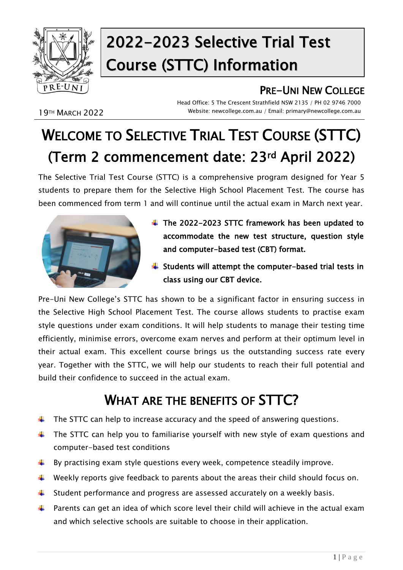

# 2022-2023 Selective Trial Test Course (STTC) Information

### PRE-UNI NEW COLLEGE

19TH MARCH 2022

Head Office: 5 The Crescent Strathfield NSW 2135 / PH 02 9746 7000 Website: newcollege.com.au / Email: primary@newcollege.com.au

# WELCOME TO SELECTIVE TRIAL TEST COURSE (STTC) (Term 2 commencement date: 23rd April 2022)

The Selective Trial Test Course (STTC) is a comprehensive program designed for Year 5 students to prepare them for the Selective High School Placement Test. The course has been commenced from term 1 and will continue until the actual exam in March next year.



- $\div$  The 2022-2023 STTC framework has been updated to accommodate the new test structure, question style and computer-based test (CBT) format.
- $\frac{1}{2}$  Students will attempt the computer-based trial tests in class using our CBT device.

Pre-Uni New College's STTC has shown to be a significant factor in ensuring success in the Selective High School Placement Test. The course allows students to practise exam style questions under exam conditions. It will help students to manage their testing time efficiently, minimise errors, overcome exam nerves and perform at their optimum level in their actual exam. This excellent course brings us the outstanding success rate every year. Together with the STTC, we will help our students to reach their full potential and build their confidence to succeed in the actual exam.

# WHAT ARE THE BENEFITS OF **STTC?**

- $\ddot{\phantom{1}}$  The STTC can help to increase accuracy and the speed of answering questions.
- $\ddot{\phantom{1}}$  The STTC can help you to familiarise yourself with new style of exam questions and computer-based test conditions
- $\ddot{\bullet}$  By practising exam style questions every week, competence steadily improve.
- $\ddot{\phantom{1}}$  Weekly reports give feedback to parents about the areas their child should focus on.
- $\ddot{\phantom{1}}$  Student performance and progress are assessed accurately on a weekly basis.
- $\uparrow$  Parents can get an idea of which score level their child will achieve in the actual exam and which selective schools are suitable to choose in their application.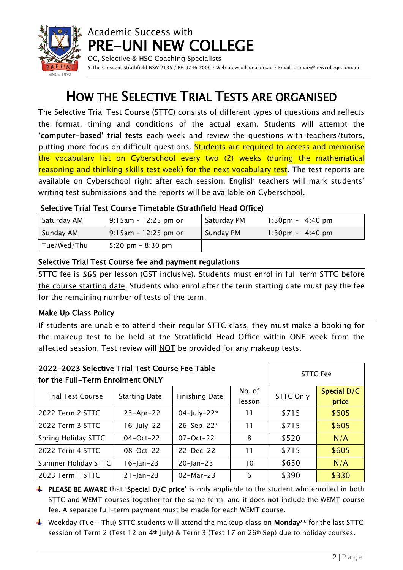

OC, Selective & HSC Coaching Specialists 5 The Crescent Strathfield NSW 2135 / PH 9746 7000 / Web: newcollege.com.au / Email: primary@newcollege.com.au

# HOW THE SELECTIVE TRIAL TESTS ARE ORGANISED

The Selective Trial Test Course (STTC) consists of different types of questions and reflects the format, timing and conditions of the actual exam. Students will attempt the 'computer-based' trial tests each week and review the questions with teachers/tutors, putting more focus on difficult questions. Students are required to access and memorise the vocabulary list on Cyberschool every two (2) weeks (during the mathematical reasoning and thinking skills test week) for the next vocabulary test. The test reports are available on Cyberschool right after each session. English teachers will mark students' writing test submissions and the reports will be available on Cyberschool.

#### Selective Trial Test Course Timetable (Strathfield Head Office)

| Saturday AM | $9:15$ am - 12:25 pm or | Saturday PM | $1:30 \text{pm} - 4:40 \text{pm}$ |
|-------------|-------------------------|-------------|-----------------------------------|
| Sunday AM   | $9:15$ am - 12:25 pm or | Sunday PM   | $1:30 \text{pm} - 4:40 \text{pm}$ |
| Tue/Wed/Thu | 5:20 pm $-$ 8:30 pm     |             |                                   |

#### Selective Trial Test Course fee and payment regulations

STTC fee is \$65 per lesson (GST inclusive). Students must enrol in full term STTC before the course starting date. Students who enrol after the term starting date must pay the fee for the remaining number of tests of the term.

#### Make Up Class Policy

If students are unable to attend their regular STTC class, they must make a booking for the makeup test to be held at the Strathfield Head Office within ONE week from the affected session. Test review will NOT be provided for any makeup tests.

| 2022-2023 Selective Trial Test Course Fee Table<br>for the Full-Term Enrolment ONLY | <b>STTC Fee</b>                                                   |                        |    |                  |                      |
|-------------------------------------------------------------------------------------|-------------------------------------------------------------------|------------------------|----|------------------|----------------------|
| <b>Trial Test Course</b>                                                            | No. of<br><b>Finishing Date</b><br><b>Starting Date</b><br>lesson |                        |    | <b>STTC Only</b> | Special D/C<br>price |
| 2022 Term 2 STTC                                                                    | $23 - Apr - 22$                                                   | 04-July-22*            | 11 | \$715            | \$605                |
| 2022 Term 3 STTC                                                                    | $16$ -July-22                                                     | $26 - Sep - 22*$       | 11 | \$715            | \$605                |
| Spring Holiday STTC                                                                 | $04 - Oct - 22$                                                   | $07 - Oct - 22$        | 8  | \$520            | N/A                  |
| 2022 Term 4 STTC                                                                    | $08 - Oct - 22$                                                   | $22 - Dec-22$          | 11 | \$715            | \$605                |
| Summer Holiday STTC                                                                 | $16 - Jan - 23$                                                   | $20 - Jan - 23$        | 10 | \$650            | N/A                  |
| 2023 Term 1 STTC                                                                    | $21 - Jan - 23$                                                   | $02 - \text{Mar} - 23$ | 6  | \$390            | \$330                |

- **PLEASE BE AWARE** that 'Special D/C price' is only appliable to the student who enrolled in both STTC and WEMT courses together for the same term, and it does not include the WEMT course fee. A separate full-term payment must be made for each WEMT course.
- **Weekday (Tue Thu) STTC students will attend the makeup class on Monday\*\*** for the last STTC session of Term 2 (Test 12 on 4<sup>th</sup> July) & Term 3 (Test 17 on 26<sup>th</sup> Sep) due to holiday courses.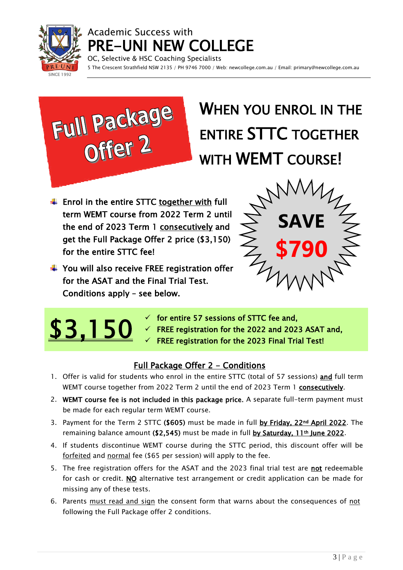

OC, Selective & HSC Coaching Specialists 5 The Crescent Strathfield NSW 2135 / PH 9746 7000 / Web: newcollege.com.au / Email: primary@newcollege.com.au



# WHEN YOU ENROL IN THE ENTIRE STTC TOGETHER WITH **WEMT** COURSE!

 $\ddot{+}$  Enrol in the entire STTC together with full term WEMT course from 2022 Term 2 until the end of 2023 Term 1 consecutively and get the Full Package Offer 2 price (\$3,150) for the entire STTC fee!

 $\div$  You will also receive FREE registration offer

for the ASAT and the Final Trial Test.

Conditions apply – see below.

**SAVE \$790**



- $\checkmark$  for entire 57 sessions of STTC fee and,
- $\checkmark$  FREE registration for the 2022 and 2023 ASAT and,
- $\checkmark$  FREE registration for the 2023 Final Trial Test!

#### Full Package Offer 2 - Conditions

- 1. Offer is valid for students who enrol in the entire STTC (total of 57 sessions) and full term WEMT course together from 2022 Term 2 until the end of 2023 Term 1 consecutively.
- 2. WEMT course fee is not included in this package price. A separate full-term payment must be made for each regular term WEMT course.
- 3. Payment for the Term 2 STTC (\$605) must be made in full by Friday, 22<sup>nd</sup> April 2022. The remaining balance amount (\$2,545) must be made in full by Saturday, 11<sup>th</sup> June 2022.
- 4. If students discontinue WEMT course during the STTC period, this discount offer will be forfeited and normal fee (\$65 per session) will apply to the fee.
- 5. The free registration offers for the ASAT and the 2023 final trial test are not redeemable for cash or credit. NO alternative test arrangement or credit application can be made for missing any of these tests.
- 6. Parents must read and sign the consent form that warns about the consequences of not following the Full Package offer 2 conditions.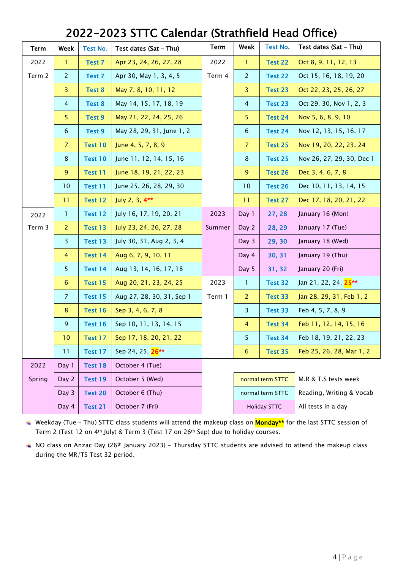### 2022-2023 STTC Calendar (Strathfield Head Office)

| Term   | Week           | <b>Test No.</b> | Test dates (Sat - Thu)       | <b>Term</b> | Week                | <b>Test No.</b> | Test dates (Sat - Thu)           |
|--------|----------------|-----------------|------------------------------|-------------|---------------------|-----------------|----------------------------------|
| 2022   | 1              | Test 7          | Apr 23, 24, 26, 27, 28       | 2022        | -1                  | Test 22         | Oct 8, 9, 11, 12, 13             |
| Term 2 | $\overline{2}$ | Test 7          | Apr 30, May 1, 3, 4, 5       | Term 4      | $\overline{2}$      | Test 22         | Oct 15, 16, 18, 19, 20           |
|        | 3              | Test 8          | May 7, 8, 10, 11, 12         |             | $\overline{3}$      | Test 23         | Oct 22, 23, 25, 26, 27           |
|        | $\overline{4}$ | Test 8          | May 14, 15, 17, 18, 19       |             | $\overline{4}$      | Test 23         | Oct 29, 30, Nov 1, 2, 3          |
|        | 5              | Test 9          | May 21, 22, 24, 25, 26       |             | 5 <sup>1</sup>      | Test 24         | Nov 5, 6, 8, 9, 10               |
|        | $6\phantom{1}$ | Test 9          | May 28, 29, 31, June 1, 2    |             | 6                   | Test 24         | Nov 12, 13, 15, 16, 17           |
|        | $\overline{7}$ | Test 10         | June 4, 5, 7, 8, 9           |             | $\overline{7}$      | Test 25         | Nov 19, 20, 22, 23, 24           |
|        | 8              | Test 10         | June 11, 12, 14, 15, 16      |             | $\bf 8$             | Test 25         | Nov 26, 27, 29, 30, Dec 1        |
|        | $\overline{9}$ | Test 11         | June 18, 19, 21, 22, 23      |             | $\overline{9}$      | Test 26         | Dec 3, 4, 6, 7, 8                |
|        | 10             | Test 11         | June 25, 26, 28, 29, 30      |             | 10                  | Test 26         | Dec 10, 11, 13, 14, 15           |
|        | 11             | Test 12         | July 2, 3, 4**               |             | 11                  | Test 27         | Dec 17, 18, 20, 21, 22           |
| 2022   | $\mathbf{1}$   | Test 12         | July 16, 17, 19, 20, 21      | 2023        | Day 1               | 27, 28          | January 16 (Mon)                 |
| Term 3 | $\overline{2}$ | Test 13         | July 23, 24, 26, 27, 28      | Summer      | Day 2               | 28, 29          | January 17 (Tue)                 |
|        | $\overline{3}$ | Test 13         | July 30, 31, Aug 2, 3, 4     |             | Day 3               | 29, 30          | January 18 (Wed)                 |
|        | $\overline{4}$ | Test 14         | Aug 6, 7, 9, 10, 11          |             | Day 4               | 30, 31          | January 19 (Thu)                 |
|        | 5              | Test 14         | Aug 13, 14, 16, 17, 18       |             | Day 5               | 31, 32          | January 20 (Fri)                 |
|        | $6\phantom{1}$ | Test 15         | Aug 20, 21, 23, 24, 25       | 2023        | $\mathbf{1}$        | Test 32         | Jan 21, 22, 24, 25 <sup>**</sup> |
|        | $\overline{7}$ | Test 15         | Aug 27, 28, 30, 31, Sep 1    | Term 1      | 2                   | Test 33         | Jan 28, 29, 31, Feb 1, 2         |
|        | 8              | Test 16         | Sep 3, 4, 6, 7, 8            |             | $\overline{3}$      | Test 33         | Feb 4, 5, 7, 8, 9                |
|        | 9              | Test 16         | Sep 10, 11, 13, 14, 15       |             | $\overline{4}$      | Test 34         | Feb 11, 12, 14, 15, 16           |
|        | 10             | Test 17         | Sep 17, 18, 20, 21, 22       |             | 5 <sub>1</sub>      | Test 34         | Feb 18, 19, 21, 22, 23           |
|        | 11             | Test 17         | Sep 24, 25, 26 <sup>**</sup> |             | 6                   | Test 35         | Feb 25, 26, 28, Mar 1, 2         |
| 2022   | Day 1          | Test 18         | October 4 (Tue)              |             |                     |                 |                                  |
| Spring | Day 2          | Test 19         | October 5 (Wed)              |             | normal term STTC    |                 | M.R & T.S tests week             |
|        | Day 3          | Test 20         | October 6 (Thu)              |             | normal term STTC    |                 | Reading, Writing & Vocab         |
|        | Day 4          | Test 21         | October 7 (Fri)              |             | <b>Holiday STTC</b> |                 | All tests in a day               |

↓ Weekday (Tue - Thu) STTC class students will attend the makeup class on **Monday\*\*** for the last STTC session of Term 2 (Test 12 on 4th July) & Term 3 (Test 17 on 26th Sep) due to holiday courses.

NO class on Anzac Day (26th January 2023) – Thursday STTC students are advised to attend the makeup class during the MR/TS Test 32 period.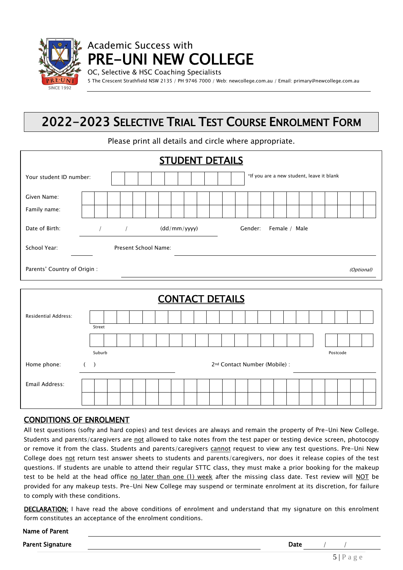

OC, Selective & HSC Coaching Specialists

5 The Crescent Strathfield NSW 2135 / PH 9746 7000 / Web: newcollege.com.au / Email: primary@newcollege.com.au

### 2022-2023 SELECTIVE TRIAL TEST COURSE ENROLMENT FORM

Please print all details and circle where appropriate.

|                              | <b>STUDENT DETAILS</b>                                              |
|------------------------------|---------------------------------------------------------------------|
| Your student ID number:      | *If you are a new student, leave it blank                           |
| Given Name:<br>Family name:  |                                                                     |
| Date of Birth:               | $\frac{1}{2}$ $\frac{1}{2}$<br>(dd/mm/yyy)<br>Gender: Female / Male |
| School Year:                 | Present School Name:                                                |
| Parents' Country of Origin : | (Optional)                                                          |
|                              | <b>CONTACT DETAILS</b>                                              |
| <b>Residential Address:</b>  | Street                                                              |

|                    | Suburb |                                           |  |  |  |  |  |  |  |  |  |  |  |  | Postcode |  |  |
|--------------------|--------|-------------------------------------------|--|--|--|--|--|--|--|--|--|--|--|--|----------|--|--|
| ( )<br>Home phone: |        | 2 <sup>nd</sup> Contact Number (Mobile) : |  |  |  |  |  |  |  |  |  |  |  |  |          |  |  |
| Email Address:     |        |                                           |  |  |  |  |  |  |  |  |  |  |  |  |          |  |  |

#### CONDITIONS OF ENROLMENT

Name of Parent

All test questions (softy and hard copies) and test devices are always and remain the property of Pre-Uni New College. Students and parents/caregivers are not allowed to take notes from the test paper or testing device screen, photocopy or remove it from the class. Students and parents/caregivers cannot request to view any test questions. Pre-Uni New College does not return test answer sheets to students and parents/caregivers, nor does it release copies of the test questions. If students are unable to attend their regular STTC class, they must make a prior booking for the makeup test to be held at the head office no later than one (1) week after the missing class date. Test review will NOT be provided for any makeup tests. Pre-Uni New College may suspend or terminate enrolment at its discretion, for failure to comply with these conditions.

DECLARATION: I have read the above conditions of enrolment and understand that my signature on this enrolment form constitutes an acceptance of the enrolment conditions.

| ו אוווס טו רמוכוונ |      |  |  |
|--------------------|------|--|--|
| Parent Signature   | Date |  |  |
|                    |      |  |  |